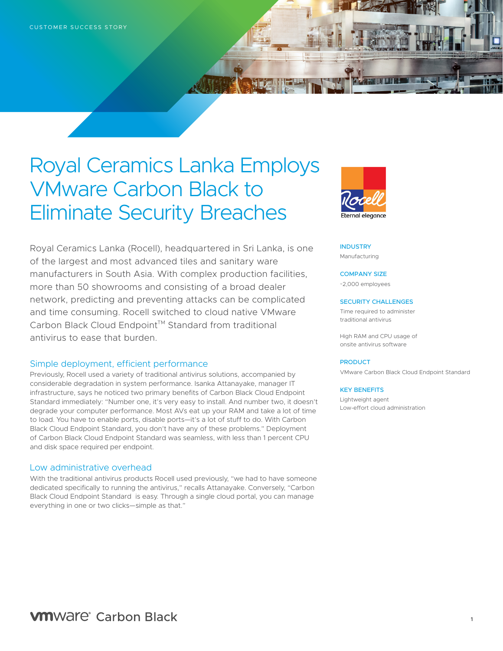# Royal Ceramics Lanka Employs VMware Carbon Black to Eliminate Security Breaches

Royal Ceramics Lanka (Rocell), headquartered in Sri Lanka, is one of the largest and most advanced tiles and sanitary ware manufacturers in South Asia. With complex production facilities, more than 50 showrooms and consisting of a broad dealer network, predicting and preventing attacks can be complicated and time consuming. Rocell switched to cloud native VMware Carbon Black Cloud Endpoint™ Standard from traditional antivirus to ease that burden.

# Simple deployment, efficient performance

Previously, Rocell used a variety of traditional antivirus solutions, accompanied by considerable degradation in system performance. Isanka Attanayake, manager IT infrastructure, says he noticed two primary benefits of Carbon Black Cloud Endpoint Standard immediately: "Number one, it's very easy to install. And number two, it doesn't degrade your computer performance. Most AVs eat up your RAM and take a lot of time to load. You have to enable ports, disable ports—it's a lot of stuff to do. With Carbon Black Cloud Endpoint Standard, you don't have any of these problems." Deployment of Carbon Black Cloud Endpoint Standard was seamless, with less than 1 percent CPU and disk space required per endpoint.

### Low administrative overhead

With the traditional antivirus products Rocell used previously, "we had to have someone dedicated specifically to running the antivirus," recalls Attanayake. Conversely, "Carbon Black Cloud Endpoint Standard is easy. Through a single cloud portal, you can manage everything in one or two clicks—simple as that."



#### **INDUSTRY** Manufacturing

#### COMPANY SIZE

~2,000 employees

#### SECURITY CHALLENGES

Time required to administer traditional antivirus

High RAM and CPU usage of onsite antivirus software

#### **PRODUCT**

VMware Carbon Black Cloud Endpoint Standard

#### KEY BENEFITS

Lightweight agent Low-effort cloud administration